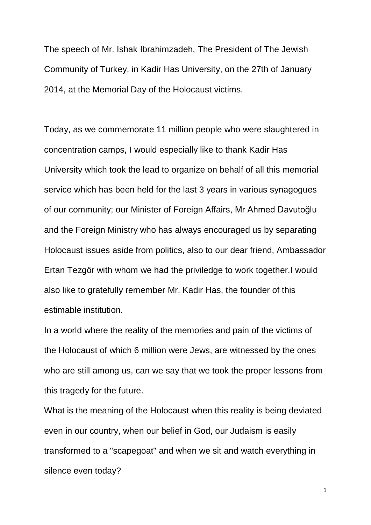The speech of Mr. Ishak Ibrahimzadeh, The President of The Jewish Community of Turkey, in Kadir Has University, on the 27th of January 2014, at the Memorial Day of the Holocaust victims.

Today, as we commemorate 11 million people who were slaughtered in concentration camps, I would especially like to thank Kadir Has University which took the lead to organize on behalf of all this memorial service which has been held for the last 3 years in various synagogues of our community; our Minister of Foreign Affairs, Mr Ahmed Davutoğlu and the Foreign Ministry who has always encouraged us by separating Holocaust issues aside from politics, also to our dear friend, Ambassador Ertan Tezgör with whom we had the priviledge to work together.I would also like to gratefully remember Mr. Kadir Has, the founder of this estimable institution.

In a world where the reality of the memories and pain of the victims of the Holocaust of which 6 million were Jews, are witnessed by the ones who are still among us, can we say that we took the proper lessons from this tragedy for the future.

What is the meaning of the Holocaust when this reality is being deviated even in our country, when our belief in God, our Judaism is easily transformed to a "scapegoat" and when we sit and watch everything in silence even today?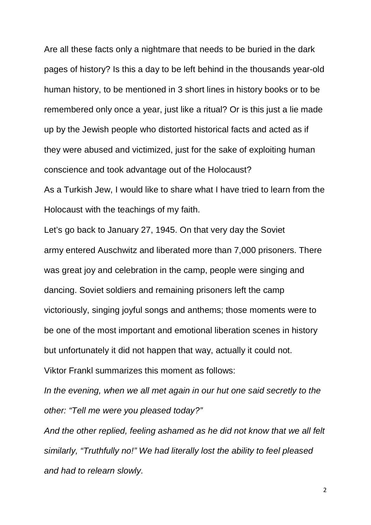Are all these facts only a nightmare that needs to be buried in the dark pages of history? Is this a day to be left behind in the thousands year-old human history, to be mentioned in 3 short lines in history books or to be remembered only once a year, just like a ritual? Or is this just a lie made up by the Jewish people who distorted historical facts and acted as if they were abused and victimized, just for the sake of exploiting human conscience and took advantage out of the Holocaust?

As a Turkish Jew, I would like to share what I have tried to learn from the Holocaust with the teachings of my faith.

Let's go back to January 27, 1945. On that very day the Soviet army entered Auschwitz and liberated more than 7,000 prisoners. There was great joy and celebration in the camp, people were singing and dancing. Soviet soldiers and remaining prisoners left the camp victoriously, singing joyful songs and anthems; those moments were to be one of the most important and emotional liberation scenes in history but unfortunately it did not happen that way, actually it could not. Viktor Frankl summarizes this moment as follows:

*In the evening, when we all met again in our hut one said secretly to the other: "Tell me were you pleased today?"*

*And the other replied, feeling ashamed as he did not know that we all felt similarly, "Truthfully no!" We had literally lost the ability to feel pleased and had to relearn slowly.*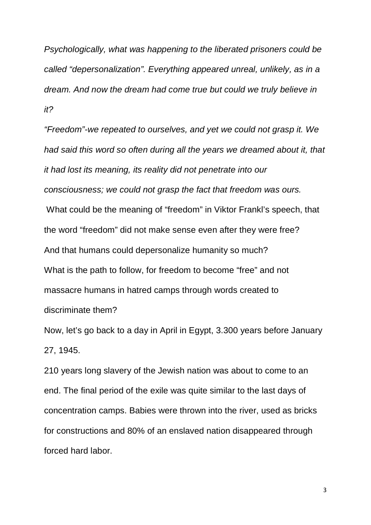*Psychologically, what was happening to the liberated prisoners could be called "depersonalization". Everything appeared unreal, unlikely, as in a dream. And now the dream had come true but could we truly believe in it?*

*"Freedom"-we repeated to ourselves, and yet we could not grasp it. We had said this word so often during all the years we dreamed about it, that it had lost its meaning, its reality did not penetrate into our consciousness; we could not grasp the fact that freedom was ours.* What could be the meaning of "freedom" in Viktor Frankl's speech, that the word "freedom" did not make sense even after they were free? And that humans could depersonalize humanity so much? What is the path to follow, for freedom to become "free" and not massacre humans in hatred camps through words created to discriminate them?

Now, let's go back to a day in April in Egypt, 3.300 years before January 27, 1945.

210 years long slavery of the Jewish nation was about to come to an end. The final period of the exile was quite similar to the last days of concentration camps. Babies were thrown into the river, used as bricks for constructions and 80% of an enslaved nation disappeared through forced hard labor.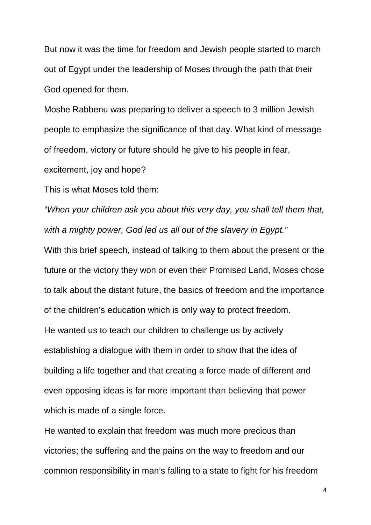But now it was the time for freedom and Jewish people started to march out of Egypt under the leadership of Moses through the path that their God opened for them.

Moshe Rabbenu was preparing to deliver a speech to 3 million Jewish people to emphasize the significance of that day. What kind of message of freedom, victory or future should he give to his people in fear, excitement, joy and hope?

This is what Moses told them:

*"When your children ask you about this very day, you shall tell them that, with a mighty power, God led us all out of the slavery in Egypt."*

With this brief speech, instead of talking to them about the present or the future or the victory they won or even their Promised Land, Moses chose to talk about the distant future, the basics of freedom and the importance of the children's education which is only way to protect freedom. He wanted us to teach our children to challenge us by actively establishing a dialogue with them in order to show that the idea of building a life together and that creating a force made of different and even opposing ideas is far more important than believing that power which is made of a single force.

He wanted to explain that freedom was much more precious than victories; the suffering and the pains on the way to freedom and our common responsibility in man's falling to a state to fight for his freedom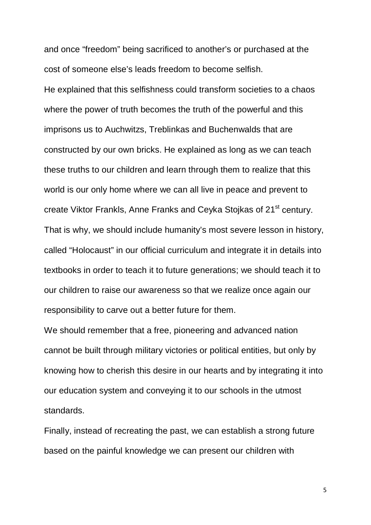and once "freedom" being sacrificed to another's or purchased at the cost of someone else's leads freedom to become selfish.

He explained that this selfishness could transform societies to a chaos where the power of truth becomes the truth of the powerful and this imprisons us to Auchwitzs, Treblinkas and Buchenwalds that are constructed by our own bricks. He explained as long as we can teach these truths to our children and learn through them to realize that this world is our only home where we can all live in peace and prevent to create Viktor Frankls, Anne Franks and Ceyka Stojkas of 21<sup>st</sup> century. That is why, we should include humanity's most severe lesson in history, called "Holocaust" in our official curriculum and integrate it in details into textbooks in order to teach it to future generations; we should teach it to our children to raise our awareness so that we realize once again our responsibility to carve out a better future for them.

We should remember that a free, pioneering and advanced nation cannot be built through military victories or political entities, but only by knowing how to cherish this desire in our hearts and by integrating it into our education system and conveying it to our schools in the utmost standards.

Finally, instead of recreating the past, we can establish a strong future based on the painful knowledge we can present our children with